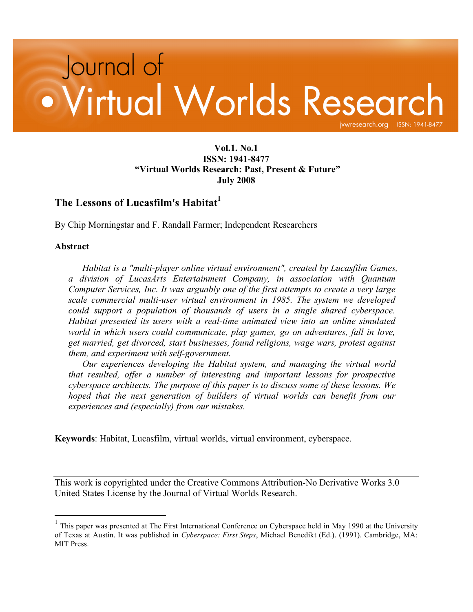# Journal of • Virtual Worlds Research.org ISSN: 1941 jvwresearch.org ISSN: 1941-8477

## **Vol.1. No.1 ISSN: 1941-8477 "Virtual Worlds Research: Past, Present & Future" July 2008**

# The Lessons of Lucasfilm's Habitat<sup>1</sup>

By Chip Morningstar and F. Randall Farmer; Independent Researchers

## **Abstract**

*Habitat is a "multi-player online virtual environment", created by Lucasfilm Games, a division of LucasArts Entertainment Company, in association with Quantum Computer Services, Inc. It was arguably one of the first attempts to create a very large scale commercial multi-user virtual environment in 1985. The system we developed could support a population of thousands of users in a single shared cyberspace. Habitat presented its users with a real-time animated view into an online simulated world in which users could communicate, play games, go on adventures, fall in love, get married, get divorced, start businesses, found religions, wage wars, protest against them, and experiment with self-government.*

*Our experiences developing the Habitat system, and managing the virtual world that resulted, offer a number of interesting and important lessons for prospective cyberspace architects. The purpose of this paper is to discuss some of these lessons. We hoped that the next generation of builders of virtual worlds can benefit from our experiences and (especially) from our mistakes.*

**Keywords**: Habitat, Lucasfilm, virtual worlds, virtual environment, cyberspace.

This work is copyrighted under the Creative Commons Attribution-No Derivative Works 3.0 United States License by the Journal of Virtual Worlds Research.

 $1$  This paper was presented at The First International Conference on Cyberspace held in May 1990 at the University of Texas at Austin. It was published in *Cyberspace: First Steps*, Michael Benedikt (Ed.). (1991). Cambridge, MA: MIT Press.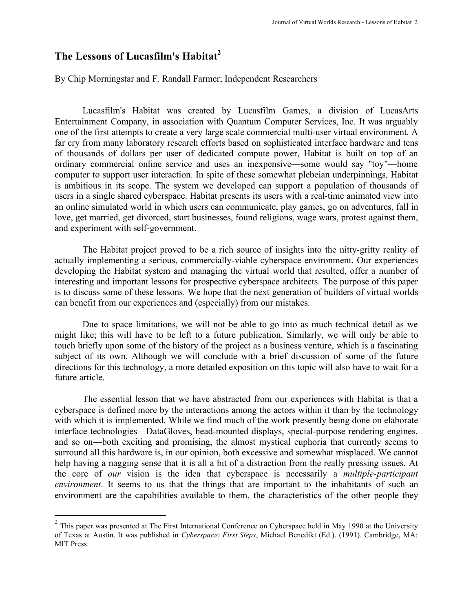# **The Lessons of Lucasfilm's Habitat2**

By Chip Morningstar and F. Randall Farmer; Independent Researchers

Lucasfilm's Habitat was created by Lucasfilm Games, a division of LucasArts Entertainment Company, in association with Quantum Computer Services, Inc. It was arguably one of the first attempts to create a very large scale commercial multi-user virtual environment. A far cry from many laboratory research efforts based on sophisticated interface hardware and tens of thousands of dollars per user of dedicated compute power, Habitat is built on top of an ordinary commercial online service and uses an inexpensive—some would say "toy"—home computer to support user interaction. In spite of these somewhat plebeian underpinnings, Habitat is ambitious in its scope. The system we developed can support a population of thousands of users in a single shared cyberspace. Habitat presents its users with a real-time animated view into an online simulated world in which users can communicate, play games, go on adventures, fall in love, get married, get divorced, start businesses, found religions, wage wars, protest against them, and experiment with self-government.

The Habitat project proved to be a rich source of insights into the nitty-gritty reality of actually implementing a serious, commercially-viable cyberspace environment. Our experiences developing the Habitat system and managing the virtual world that resulted, offer a number of interesting and important lessons for prospective cyberspace architects. The purpose of this paper is to discuss some of these lessons. We hope that the next generation of builders of virtual worlds can benefit from our experiences and (especially) from our mistakes.

Due to space limitations, we will not be able to go into as much technical detail as we might like; this will have to be left to a future publication. Similarly, we will only be able to touch briefly upon some of the history of the project as a business venture, which is a fascinating subject of its own. Although we will conclude with a brief discussion of some of the future directions for this technology, a more detailed exposition on this topic will also have to wait for a future article.

The essential lesson that we have abstracted from our experiences with Habitat is that a cyberspace is defined more by the interactions among the actors within it than by the technology with which it is implemented. While we find much of the work presently being done on elaborate interface technologies—DataGloves, head-mounted displays, special-purpose rendering engines, and so on—both exciting and promising, the almost mystical euphoria that currently seems to surround all this hardware is, in our opinion, both excessive and somewhat misplaced. We cannot help having a nagging sense that it is all a bit of a distraction from the really pressing issues. At the core of *our* vision is the idea that cyberspace is necessarily a *multiple-participant environment*. It seems to us that the things that are important to the inhabitants of such an environment are the capabilities available to them, the characteristics of the other people they

<sup>&</sup>lt;sup>2</sup> This paper was presented at The First International Conference on Cyberspace held in May 1990 at the University of Texas at Austin. It was published in *Cyberspace: First Steps*, Michael Benedikt (Ed.). (1991). Cambridge, MA: MIT Press.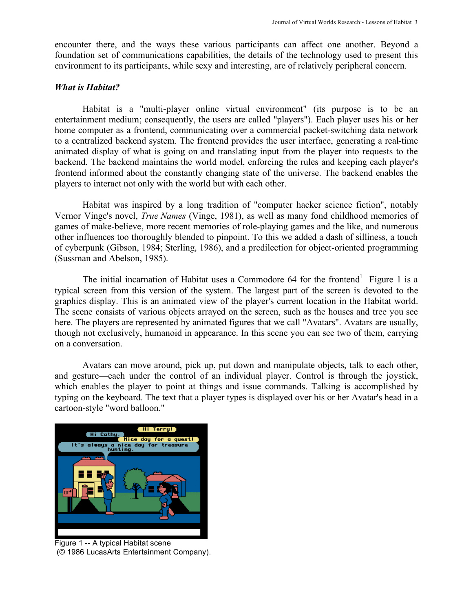encounter there, and the ways these various participants can affect one another. Beyond a foundation set of communications capabilities, the details of the technology used to present this environment to its participants, while sexy and interesting, are of relatively peripheral concern.

#### *What is Habitat?*

Habitat is a "multi-player online virtual environment" (its purpose is to be an entertainment medium; consequently, the users are called "players"). Each player uses his or her home computer as a frontend, communicating over a commercial packet-switching data network to a centralized backend system. The frontend provides the user interface, generating a real-time animated display of what is going on and translating input from the player into requests to the backend. The backend maintains the world model, enforcing the rules and keeping each player's frontend informed about the constantly changing state of the universe. The backend enables the players to interact not only with the world but with each other.

Habitat was inspired by a long tradition of "computer hacker science fiction", notably Vernor Vinge's novel, *True Names* (Vinge, 1981), as well as many fond childhood memories of games of make-believe, more recent memories of role-playing games and the like, and numerous other influences too thoroughly blended to pinpoint. To this we added a dash of silliness, a touch of cyberpunk (Gibson, 1984; Sterling, 1986), and a predilection for object-oriented programming (Sussman and Abelson, 1985).

The initial incarnation of Habitat uses a Commodore 64 for the frontend<sup>1</sup> Figure 1 is a typical screen from this version of the system. The largest part of the screen is devoted to the graphics display. This is an animated view of the player's current location in the Habitat world. The scene consists of various objects arrayed on the screen, such as the houses and tree you see here. The players are represented by animated figures that we call "Avatars". Avatars are usually, though not exclusively, humanoid in appearance. In this scene you can see two of them, carrying on a conversation.

Avatars can move around, pick up, put down and manipulate objects, talk to each other, and gesture—each under the control of an individual player. Control is through the joystick, which enables the player to point at things and issue commands. Talking is accomplished by typing on the keyboard. The text that a player types is displayed over his or her Avatar's head in a cartoon-style "word balloon."



Figure 1 -- A typical Habitat scene (© 1986 LucasArts Entertainment Company).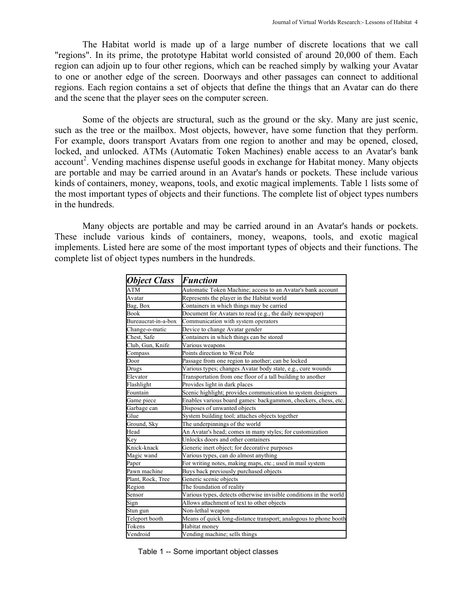The Habitat world is made up of a large number of discrete locations that we call "regions". In its prime, the prototype Habitat world consisted of around 20,000 of them. Each region can adjoin up to four other regions, which can be reached simply by walking your Avatar to one or another edge of the screen. Doorways and other passages can connect to additional regions. Each region contains a set of objects that define the things that an Avatar can do there and the scene that the player sees on the computer screen.

Some of the objects are structural, such as the ground or the sky. Many are just scenic, such as the tree or the mailbox. Most objects, however, have some function that they perform. For example, doors transport Avatars from one region to another and may be opened, closed, locked, and unlocked. ATMs (Automatic Token Machines) enable access to an Avatar's bank account<sup>2</sup>. Vending machines dispense useful goods in exchange for Habitat money. Many objects are portable and may be carried around in an Avatar's hands or pockets. These include various kinds of containers, money, weapons, tools, and exotic magical implements. Table 1 lists some of the most important types of objects and their functions. The complete list of object types numbers in the hundreds.

Many objects are portable and may be carried around in an Avatar's hands or pockets. These include various kinds of containers, money, weapons, tools, and exotic magical implements. Listed here are some of the most important types of objects and their functions. The complete list of object types numbers in the hundreds.

| <b>Object Class</b> | <b>Function</b>                                                    |
|---------------------|--------------------------------------------------------------------|
| <b>ATM</b>          | Automatic Token Machine; access to an Avatar's bank account        |
| Avatar              | Represents the player in the Habitat world                         |
| Bag, Box            | Containers in which things may be carried                          |
| Book                | Document for Avatars to read (e.g., the daily newspaper)           |
| Bureaucrat-in-a-box | Communication with system operators                                |
| Change-o-matic      | Device to change Avatar gender                                     |
| Chest, Safe         | Containers in which things can be stored                           |
| Club, Gun, Knife    | Various weapons                                                    |
| Compass             | Points direction to West Pole                                      |
| Door                | Passage from one region to another; can be locked                  |
| Drugs               | Various types; changes Avatar body state, e.g., cure wounds        |
| Elevator            | Transportation from one floor of a tall building to another        |
| Flashlight          | Provides light in dark places                                      |
| Fountain            | Scenic highlight; provides communication to system designers       |
| Game piece          | Enables various board games: backgammon, checkers, chess, etc.     |
| Garbage can         | Disposes of unwanted objects                                       |
| Glue                | System building tool; attaches objects together                    |
| Ground, Sky         | The underpinnings of the world                                     |
| Head                | An Avatar's head; comes in many styles; for customization          |
| Key                 | Unlocks doors and other containers                                 |
| Knick-knack         | Generic inert object; for decorative purposes                      |
| Magic wand          | Various types, can do almost anything                              |
| Paper               | For writing notes, making maps, etc.; used in mail system          |
| Pawn machine        | Buys back previously purchased objects                             |
| Plant, Rock, Tree   | Generic scenic objects                                             |
| Region              | The foundation of reality                                          |
| Sensor              | Various types, detects otherwise invisible conditions in the world |
| Sign                | Allows attachment of text to other objects                         |
| Stun gun            | Non-lethal weapon                                                  |
| Teleport booth      | Means of quick long-distance transport; analogous to phone booth   |
| Tokens              | Habitat money                                                      |
| Vendroid            | Vending machine; sells things                                      |

Table 1 -- Some important object classes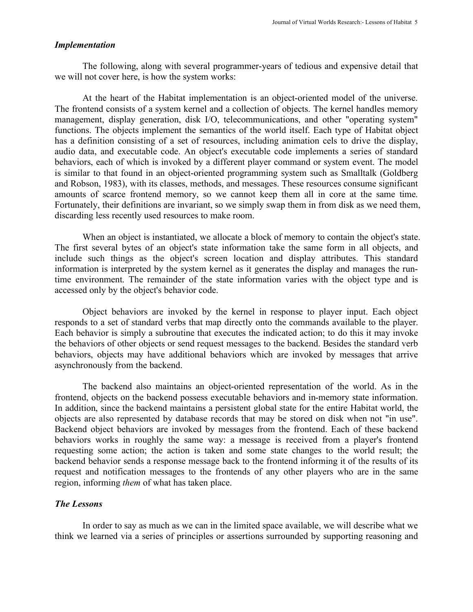#### *Implementation*

The following, along with several programmer-years of tedious and expensive detail that we will not cover here, is how the system works:

At the heart of the Habitat implementation is an object-oriented model of the universe. The frontend consists of a system kernel and a collection of objects. The kernel handles memory management, display generation, disk I/O, telecommunications, and other "operating system" functions. The objects implement the semantics of the world itself. Each type of Habitat object has a definition consisting of a set of resources, including animation cels to drive the display, audio data, and executable code. An object's executable code implements a series of standard behaviors, each of which is invoked by a different player command or system event. The model is similar to that found in an object-oriented programming system such as Smalltalk (Goldberg and Robson, 1983), with its classes, methods, and messages. These resources consume significant amounts of scarce frontend memory, so we cannot keep them all in core at the same time. Fortunately, their definitions are invariant, so we simply swap them in from disk as we need them, discarding less recently used resources to make room.

When an object is instantiated, we allocate a block of memory to contain the object's state. The first several bytes of an object's state information take the same form in all objects, and include such things as the object's screen location and display attributes. This standard information is interpreted by the system kernel as it generates the display and manages the runtime environment. The remainder of the state information varies with the object type and is accessed only by the object's behavior code.

Object behaviors are invoked by the kernel in response to player input. Each object responds to a set of standard verbs that map directly onto the commands available to the player. Each behavior is simply a subroutine that executes the indicated action; to do this it may invoke the behaviors of other objects or send request messages to the backend. Besides the standard verb behaviors, objects may have additional behaviors which are invoked by messages that arrive asynchronously from the backend.

The backend also maintains an object-oriented representation of the world. As in the frontend, objects on the backend possess executable behaviors and in-memory state information. In addition, since the backend maintains a persistent global state for the entire Habitat world, the objects are also represented by database records that may be stored on disk when not "in use". Backend object behaviors are invoked by messages from the frontend. Each of these backend behaviors works in roughly the same way: a message is received from a player's frontend requesting some action; the action is taken and some state changes to the world result; the backend behavior sends a response message back to the frontend informing it of the results of its request and notification messages to the frontends of any other players who are in the same region, informing *them* of what has taken place.

#### *The Lessons*

In order to say as much as we can in the limited space available, we will describe what we think we learned via a series of principles or assertions surrounded by supporting reasoning and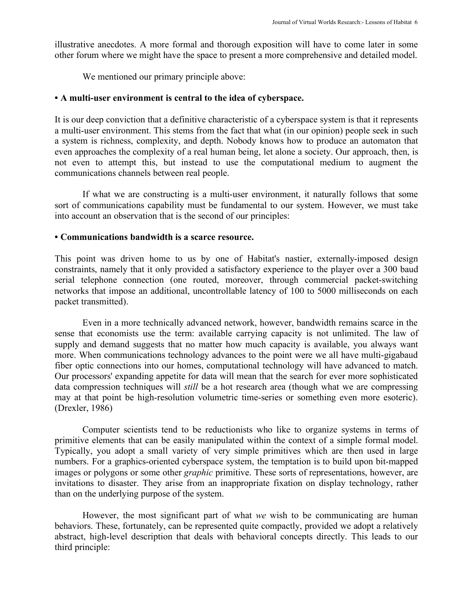illustrative anecdotes. A more formal and thorough exposition will have to come later in some other forum where we might have the space to present a more comprehensive and detailed model.

We mentioned our primary principle above:

#### **• A multi-user environment is central to the idea of cyberspace.**

It is our deep conviction that a definitive characteristic of a cyberspace system is that it represents a multi-user environment. This stems from the fact that what (in our opinion) people seek in such a system is richness, complexity, and depth. Nobody knows how to produce an automaton that even approaches the complexity of a real human being, let alone a society. Our approach, then, is not even to attempt this, but instead to use the computational medium to augment the communications channels between real people.

If what we are constructing is a multi-user environment, it naturally follows that some sort of communications capability must be fundamental to our system. However, we must take into account an observation that is the second of our principles:

#### **• Communications bandwidth is a scarce resource.**

This point was driven home to us by one of Habitat's nastier, externally-imposed design constraints, namely that it only provided a satisfactory experience to the player over a 300 baud serial telephone connection (one routed, moreover, through commercial packet-switching networks that impose an additional, uncontrollable latency of 100 to 5000 milliseconds on each packet transmitted).

Even in a more technically advanced network, however, bandwidth remains scarce in the sense that economists use the term: available carrying capacity is not unlimited. The law of supply and demand suggests that no matter how much capacity is available, you always want more. When communications technology advances to the point were we all have multi-gigabaud fiber optic connections into our homes, computational technology will have advanced to match. Our processors' expanding appetite for data will mean that the search for ever more sophisticated data compression techniques will *still* be a hot research area (though what we are compressing may at that point be high-resolution volumetric time-series or something even more esoteric). (Drexler, 1986)

Computer scientists tend to be reductionists who like to organize systems in terms of primitive elements that can be easily manipulated within the context of a simple formal model. Typically, you adopt a small variety of very simple primitives which are then used in large numbers. For a graphics-oriented cyberspace system, the temptation is to build upon bit-mapped images or polygons or some other *graphic* primitive. These sorts of representations, however, are invitations to disaster. They arise from an inappropriate fixation on display technology, rather than on the underlying purpose of the system.

However, the most significant part of what *we* wish to be communicating are human behaviors. These, fortunately, can be represented quite compactly, provided we adopt a relatively abstract, high-level description that deals with behavioral concepts directly. This leads to our third principle: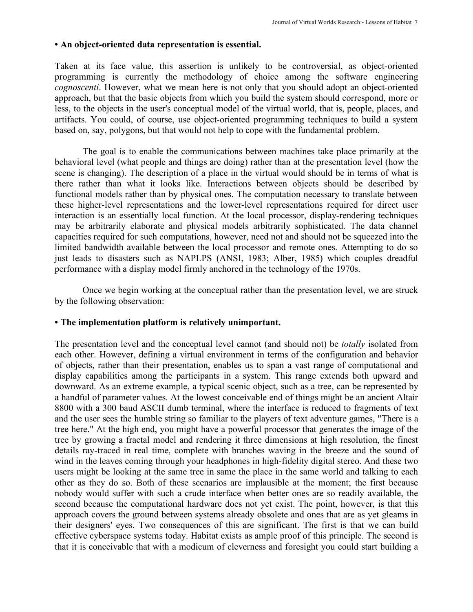#### **• An object-oriented data representation is essential.**

Taken at its face value, this assertion is unlikely to be controversial, as object-oriented programming is currently the methodology of choice among the software engineering *cognoscenti*. However, what we mean here is not only that you should adopt an object-oriented approach, but that the basic objects from which you build the system should correspond, more or less, to the objects in the user's conceptual model of the virtual world, that is, people, places, and artifacts. You could, of course, use object-oriented programming techniques to build a system based on, say, polygons, but that would not help to cope with the fundamental problem.

The goal is to enable the communications between machines take place primarily at the behavioral level (what people and things are doing) rather than at the presentation level (how the scene is changing). The description of a place in the virtual would should be in terms of what is there rather than what it looks like. Interactions between objects should be described by functional models rather than by physical ones. The computation necessary to translate between these higher-level representations and the lower-level representations required for direct user interaction is an essentially local function. At the local processor, display-rendering techniques may be arbitrarily elaborate and physical models arbitrarily sophisticated. The data channel capacities required for such computations, however, need not and should not be squeezed into the limited bandwidth available between the local processor and remote ones. Attempting to do so just leads to disasters such as NAPLPS (ANSI, 1983; Alber, 1985) which couples dreadful performance with a display model firmly anchored in the technology of the 1970s.

Once we begin working at the conceptual rather than the presentation level, we are struck by the following observation:

#### **• The implementation platform is relatively unimportant.**

The presentation level and the conceptual level cannot (and should not) be *totally* isolated from each other. However, defining a virtual environment in terms of the configuration and behavior of objects, rather than their presentation, enables us to span a vast range of computational and display capabilities among the participants in a system. This range extends both upward and downward. As an extreme example, a typical scenic object, such as a tree, can be represented by a handful of parameter values. At the lowest conceivable end of things might be an ancient Altair 8800 with a 300 baud ASCII dumb terminal, where the interface is reduced to fragments of text and the user sees the humble string so familiar to the players of text adventure games, "There is a tree here." At the high end, you might have a powerful processor that generates the image of the tree by growing a fractal model and rendering it three dimensions at high resolution, the finest details ray-traced in real time, complete with branches waving in the breeze and the sound of wind in the leaves coming through your headphones in high-fidelity digital stereo. And these two users might be looking at the same tree in same the place in the same world and talking to each other as they do so. Both of these scenarios are implausible at the moment; the first because nobody would suffer with such a crude interface when better ones are so readily available, the second because the computational hardware does not yet exist. The point, however, is that this approach covers the ground between systems already obsolete and ones that are as yet gleams in their designers' eyes. Two consequences of this are significant. The first is that we can build effective cyberspace systems today. Habitat exists as ample proof of this principle. The second is that it is conceivable that with a modicum of cleverness and foresight you could start building a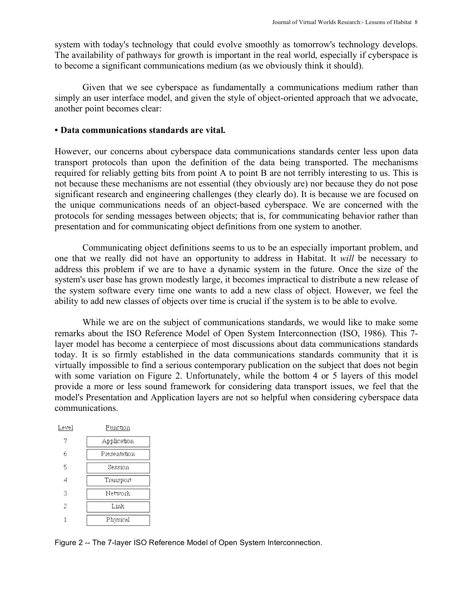system with today's technology that could evolve smoothly as tomorrow's technology develops. The availability of pathways for growth is important in the real world, especially if cyberspace is to become a significant communications medium (as we obviously think it should).

Given that we see cyberspace as fundamentally a communications medium rather than simply an user interface model, and given the style of object-oriented approach that we advocate, another point becomes clear:

#### **• Data communications standards are vital.**

However, our concerns about cyberspace data communications standards center less upon data transport protocols than upon the definition of the data being transported. The mechanisms required for reliably getting bits from point A to point B are not terribly interesting to us. This is not because these mechanisms are not essential (they obviously are) nor because they do not pose significant research and engineering challenges (they clearly do). It is because we are focused on the unique communications needs of an object-based cyberspace. We are concerned with the protocols for sending messages between objects; that is, for communicating behavior rather than presentation and for communicating object definitions from one system to another.

Communicating object definitions seems to us to be an especially important problem, and one that we really did not have an opportunity to address in Habitat. It *will* be necessary to address this problem if we are to have a dynamic system in the future. Once the size of the system's user base has grown modestly large, it becomes impractical to distribute a new release of the system software every time one wants to add a new class of object. However, we feel the ability to add new classes of objects over time is crucial if the system is to be able to evolve.

While we are on the subject of communications standards, we would like to make some remarks about the ISO Reference Model of Open System Interconnection (ISO, 1986). This 7 layer model has become a centerpiece of most discussions about data communications standards today. It is so firmly established in the data communications standards community that it is virtually impossible to find a serious contemporary publication on the subject that does not begin with some variation on Figure 2. Unfortunately, while the bottom 4 or 5 layers of this model provide a more or less sound framework for considering data transport issues, we feel that the model's Presentation and Application layers are not so helpful when considering cyberspace data communications.

| Level | Function     |
|-------|--------------|
| 7     | Application  |
| 6     | Presentation |
| 5     | Session      |
| 4     | Transport    |
| 3     | Network      |
| 2     | Link         |
|       | Physical     |
|       |              |

Figure 2 -- The 7-layer ISO Reference Model of Open System Interconnection.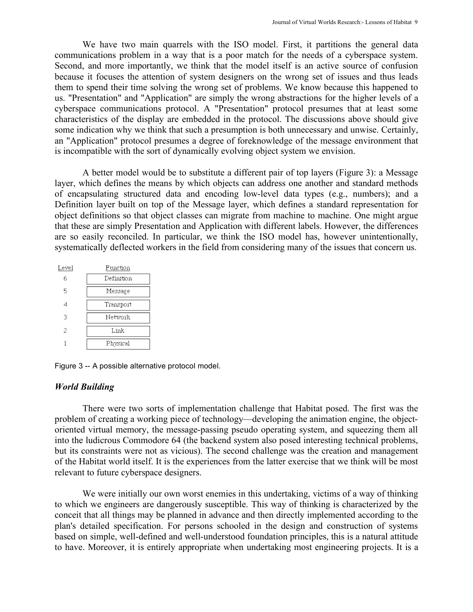We have two main quarrels with the ISO model. First, it partitions the general data communications problem in a way that is a poor match for the needs of a cyberspace system. Second, and more importantly, we think that the model itself is an active source of confusion because it focuses the attention of system designers on the wrong set of issues and thus leads them to spend their time solving the wrong set of problems. We know because this happened to us. "Presentation" and "Application" are simply the wrong abstractions for the higher levels of a cyberspace communications protocol. A "Presentation" protocol presumes that at least some characteristics of the display are embedded in the protocol. The discussions above should give some indication why we think that such a presumption is both unnecessary and unwise. Certainly, an "Application" protocol presumes a degree of foreknowledge of the message environment that is incompatible with the sort of dynamically evolving object system we envision.

A better model would be to substitute a different pair of top layers (Figure 3): a Message layer, which defines the means by which objects can address one another and standard methods of encapsulating structured data and encoding low-level data types (e.g., numbers); and a Definition layer built on top of the Message layer, which defines a standard representation for object definitions so that object classes can migrate from machine to machine. One might argue that these are simply Presentation and Application with different labels. However, the differences are so easily reconciled. In particular, we think the ISO model has, however unintentionally, systematically deflected workers in the field from considering many of the issues that concern us.

| Level | Function   |
|-------|------------|
| 6     | Definition |
| 5     | Меззаgе    |
| 4     | Transport  |
| 3     | Network    |
| 2     | Link       |
|       | Physical   |

Figure 3 -- A possible alternative protocol model.

### *World Building*

There were two sorts of implementation challenge that Habitat posed. The first was the problem of creating a working piece of technology—developing the animation engine, the objectoriented virtual memory, the message-passing pseudo operating system, and squeezing them all into the ludicrous Commodore 64 (the backend system also posed interesting technical problems, but its constraints were not as vicious). The second challenge was the creation and management of the Habitat world itself. It is the experiences from the latter exercise that we think will be most relevant to future cyberspace designers.

We were initially our own worst enemies in this undertaking, victims of a way of thinking to which we engineers are dangerously susceptible. This way of thinking is characterized by the conceit that all things may be planned in advance and then directly implemented according to the plan's detailed specification. For persons schooled in the design and construction of systems based on simple, well-defined and well-understood foundation principles, this is a natural attitude to have. Moreover, it is entirely appropriate when undertaking most engineering projects. It is a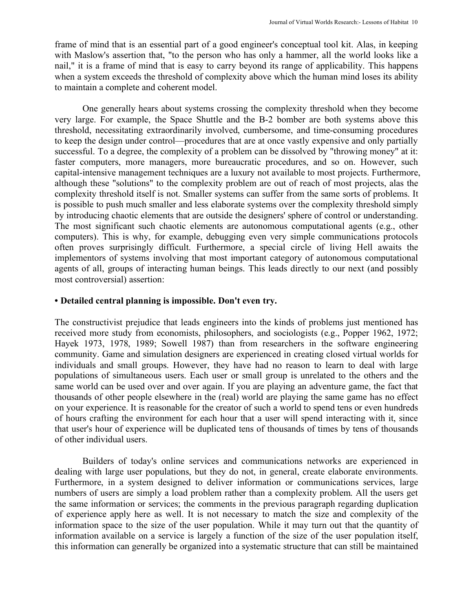frame of mind that is an essential part of a good engineer's conceptual tool kit. Alas, in keeping with Maslow's assertion that, "to the person who has only a hammer, all the world looks like a nail," it is a frame of mind that is easy to carry beyond its range of applicability. This happens when a system exceeds the threshold of complexity above which the human mind loses its ability to maintain a complete and coherent model.

One generally hears about systems crossing the complexity threshold when they become very large. For example, the Space Shuttle and the B-2 bomber are both systems above this threshold, necessitating extraordinarily involved, cumbersome, and time-consuming procedures to keep the design under control—procedures that are at once vastly expensive and only partially successful. To a degree, the complexity of a problem can be dissolved by "throwing money" at it: faster computers, more managers, more bureaucratic procedures, and so on. However, such capital-intensive management techniques are a luxury not available to most projects. Furthermore, although these "solutions" to the complexity problem are out of reach of most projects, alas the complexity threshold itself is not. Smaller systems can suffer from the same sorts of problems. It is possible to push much smaller and less elaborate systems over the complexity threshold simply by introducing chaotic elements that are outside the designers' sphere of control or understanding. The most significant such chaotic elements are autonomous computational agents (e.g., other computers). This is why, for example, debugging even very simple communications protocols often proves surprisingly difficult. Furthermore, a special circle of living Hell awaits the implementors of systems involving that most important category of autonomous computational agents of all, groups of interacting human beings. This leads directly to our next (and possibly most controversial) assertion:

#### **• Detailed central planning is impossible. Don't even try.**

The constructivist prejudice that leads engineers into the kinds of problems just mentioned has received more study from economists, philosophers, and sociologists (e.g., Popper 1962, 1972; Hayek 1973, 1978, 1989; Sowell 1987) than from researchers in the software engineering community. Game and simulation designers are experienced in creating closed virtual worlds for individuals and small groups. However, they have had no reason to learn to deal with large populations of simultaneous users. Each user or small group is unrelated to the others and the same world can be used over and over again. If you are playing an adventure game, the fact that thousands of other people elsewhere in the (real) world are playing the same game has no effect on your experience. It is reasonable for the creator of such a world to spend tens or even hundreds of hours crafting the environment for each hour that a user will spend interacting with it, since that user's hour of experience will be duplicated tens of thousands of times by tens of thousands of other individual users.

Builders of today's online services and communications networks are experienced in dealing with large user populations, but they do not, in general, create elaborate environments. Furthermore, in a system designed to deliver information or communications services, large numbers of users are simply a load problem rather than a complexity problem. All the users get the same information or services; the comments in the previous paragraph regarding duplication of experience apply here as well. It is not necessary to match the size and complexity of the information space to the size of the user population. While it may turn out that the quantity of information available on a service is largely a function of the size of the user population itself, this information can generally be organized into a systematic structure that can still be maintained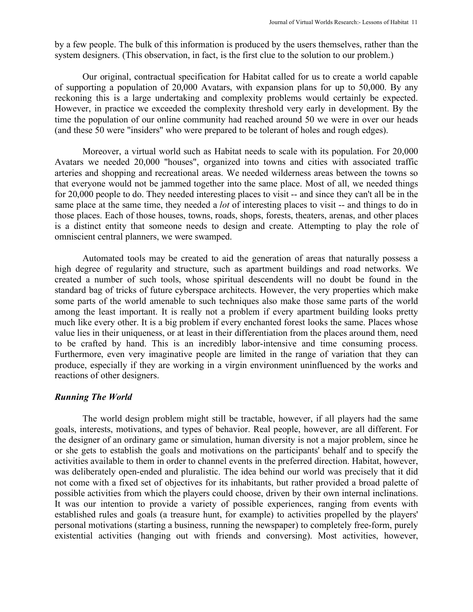by a few people. The bulk of this information is produced by the users themselves, rather than the system designers. (This observation, in fact, is the first clue to the solution to our problem.)

Our original, contractual specification for Habitat called for us to create a world capable of supporting a population of 20,000 Avatars, with expansion plans for up to 50,000. By any reckoning this is a large undertaking and complexity problems would certainly be expected. However, in practice we exceeded the complexity threshold very early in development. By the time the population of our online community had reached around 50 we were in over our heads (and these 50 were "insiders" who were prepared to be tolerant of holes and rough edges).

Moreover, a virtual world such as Habitat needs to scale with its population. For 20,000 Avatars we needed 20,000 "houses", organized into towns and cities with associated traffic arteries and shopping and recreational areas. We needed wilderness areas between the towns so that everyone would not be jammed together into the same place. Most of all, we needed things for 20,000 people to do. They needed interesting places to visit -- and since they can't all be in the same place at the same time, they needed a *lot* of interesting places to visit -- and things to do in those places. Each of those houses, towns, roads, shops, forests, theaters, arenas, and other places is a distinct entity that someone needs to design and create. Attempting to play the role of omniscient central planners, we were swamped.

Automated tools may be created to aid the generation of areas that naturally possess a high degree of regularity and structure, such as apartment buildings and road networks. We created a number of such tools, whose spiritual descendents will no doubt be found in the standard bag of tricks of future cyberspace architects. However, the very properties which make some parts of the world amenable to such techniques also make those same parts of the world among the least important. It is really not a problem if every apartment building looks pretty much like every other. It is a big problem if every enchanted forest looks the same. Places whose value lies in their uniqueness, or at least in their differentiation from the places around them, need to be crafted by hand. This is an incredibly labor-intensive and time consuming process. Furthermore, even very imaginative people are limited in the range of variation that they can produce, especially if they are working in a virgin environment uninfluenced by the works and reactions of other designers.

#### *Running The World*

The world design problem might still be tractable, however, if all players had the same goals, interests, motivations, and types of behavior. Real people, however, are all different. For the designer of an ordinary game or simulation, human diversity is not a major problem, since he or she gets to establish the goals and motivations on the participants' behalf and to specify the activities available to them in order to channel events in the preferred direction. Habitat, however, was deliberately open-ended and pluralistic. The idea behind our world was precisely that it did not come with a fixed set of objectives for its inhabitants, but rather provided a broad palette of possible activities from which the players could choose, driven by their own internal inclinations. It was our intention to provide a variety of possible experiences, ranging from events with established rules and goals (a treasure hunt, for example) to activities propelled by the players' personal motivations (starting a business, running the newspaper) to completely free-form, purely existential activities (hanging out with friends and conversing). Most activities, however,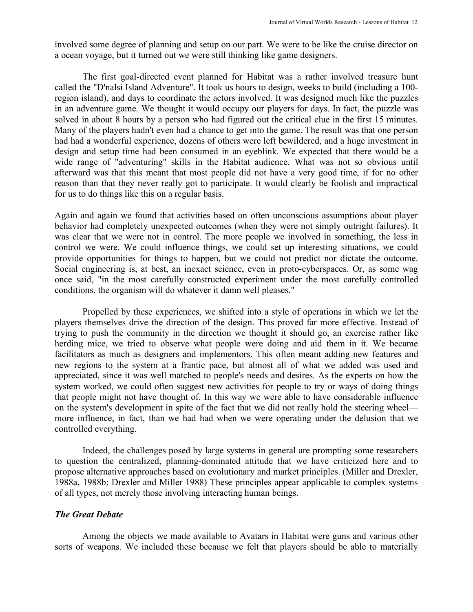involved some degree of planning and setup on our part. We were to be like the cruise director on a ocean voyage, but it turned out we were still thinking like game designers.

The first goal-directed event planned for Habitat was a rather involved treasure hunt called the "D'nalsi Island Adventure". It took us hours to design, weeks to build (including a 100 region island), and days to coordinate the actors involved. It was designed much like the puzzles in an adventure game. We thought it would occupy our players for days. In fact, the puzzle was solved in about 8 hours by a person who had figured out the critical clue in the first 15 minutes. Many of the players hadn't even had a chance to get into the game. The result was that one person had had a wonderful experience, dozens of others were left bewildered, and a huge investment in design and setup time had been consumed in an eyeblink. We expected that there would be a wide range of "adventuring" skills in the Habitat audience. What was not so obvious until afterward was that this meant that most people did not have a very good time, if for no other reason than that they never really got to participate. It would clearly be foolish and impractical for us to do things like this on a regular basis.

Again and again we found that activities based on often unconscious assumptions about player behavior had completely unexpected outcomes (when they were not simply outright failures). It was clear that we were not in control. The more people we involved in something, the less in control we were. We could influence things, we could set up interesting situations, we could provide opportunities for things to happen, but we could not predict nor dictate the outcome. Social engineering is, at best, an inexact science, even in proto-cyberspaces. Or, as some wag once said, "in the most carefully constructed experiment under the most carefully controlled conditions, the organism will do whatever it damn well pleases."

Propelled by these experiences, we shifted into a style of operations in which we let the players themselves drive the direction of the design. This proved far more effective. Instead of trying to push the community in the direction we thought it should go, an exercise rather like herding mice, we tried to observe what people were doing and aid them in it. We became facilitators as much as designers and implementors. This often meant adding new features and new regions to the system at a frantic pace, but almost all of what we added was used and appreciated, since it was well matched to people's needs and desires. As the experts on how the system worked, we could often suggest new activities for people to try or ways of doing things that people might not have thought of. In this way we were able to have considerable influence on the system's development in spite of the fact that we did not really hold the steering wheel more influence, in fact, than we had had when we were operating under the delusion that we controlled everything.

Indeed, the challenges posed by large systems in general are prompting some researchers to question the centralized, planning-dominated attitude that we have criticized here and to propose alternative approaches based on evolutionary and market principles. (Miller and Drexler, 1988a, 1988b; Drexler and Miller 1988) These principles appear applicable to complex systems of all types, not merely those involving interacting human beings.

#### *The Great Debate*

Among the objects we made available to Avatars in Habitat were guns and various other sorts of weapons. We included these because we felt that players should be able to materially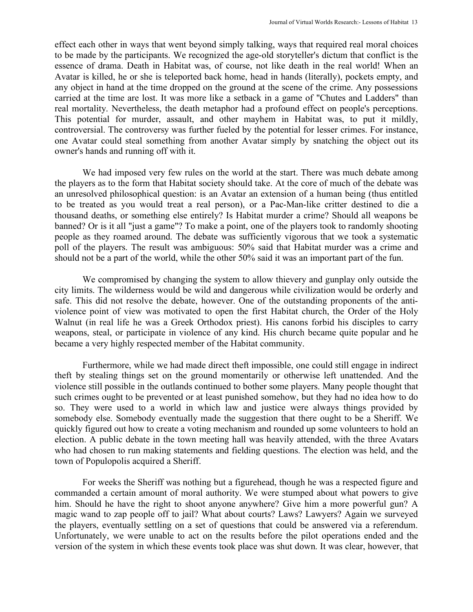effect each other in ways that went beyond simply talking, ways that required real moral choices to be made by the participants. We recognized the age-old storyteller's dictum that conflict is the essence of drama. Death in Habitat was, of course, not like death in the real world! When an Avatar is killed, he or she is teleported back home, head in hands (literally), pockets empty, and any object in hand at the time dropped on the ground at the scene of the crime. Any possessions carried at the time are lost. It was more like a setback in a game of "Chutes and Ladders" than real mortality. Nevertheless, the death metaphor had a profound effect on people's perceptions. This potential for murder, assault, and other mayhem in Habitat was, to put it mildly, controversial. The controversy was further fueled by the potential for lesser crimes. For instance, one Avatar could steal something from another Avatar simply by snatching the object out its owner's hands and running off with it.

We had imposed very few rules on the world at the start. There was much debate among the players as to the form that Habitat society should take. At the core of much of the debate was an unresolved philosophical question: is an Avatar an extension of a human being (thus entitled to be treated as you would treat a real person), or a Pac-Man-like critter destined to die a thousand deaths, or something else entirely? Is Habitat murder a crime? Should all weapons be banned? Or is it all "just a game"? To make a point, one of the players took to randomly shooting people as they roamed around. The debate was sufficiently vigorous that we took a systematic poll of the players. The result was ambiguous: 50% said that Habitat murder was a crime and should not be a part of the world, while the other 50% said it was an important part of the fun.

We compromised by changing the system to allow thievery and gunplay only outside the city limits. The wilderness would be wild and dangerous while civilization would be orderly and safe. This did not resolve the debate, however. One of the outstanding proponents of the antiviolence point of view was motivated to open the first Habitat church, the Order of the Holy Walnut (in real life he was a Greek Orthodox priest). His canons forbid his disciples to carry weapons, steal, or participate in violence of any kind. His church became quite popular and he became a very highly respected member of the Habitat community.

Furthermore, while we had made direct theft impossible, one could still engage in indirect theft by stealing things set on the ground momentarily or otherwise left unattended. And the violence still possible in the outlands continued to bother some players. Many people thought that such crimes ought to be prevented or at least punished somehow, but they had no idea how to do so. They were used to a world in which law and justice were always things provided by somebody else. Somebody eventually made the suggestion that there ought to be a Sheriff. We quickly figured out how to create a voting mechanism and rounded up some volunteers to hold an election. A public debate in the town meeting hall was heavily attended, with the three Avatars who had chosen to run making statements and fielding questions. The election was held, and the town of Populopolis acquired a Sheriff.

For weeks the Sheriff was nothing but a figurehead, though he was a respected figure and commanded a certain amount of moral authority. We were stumped about what powers to give him. Should he have the right to shoot anyone anywhere? Give him a more powerful gun? A magic wand to zap people off to jail? What about courts? Laws? Lawyers? Again we surveyed the players, eventually settling on a set of questions that could be answered via a referendum. Unfortunately, we were unable to act on the results before the pilot operations ended and the version of the system in which these events took place was shut down. It was clear, however, that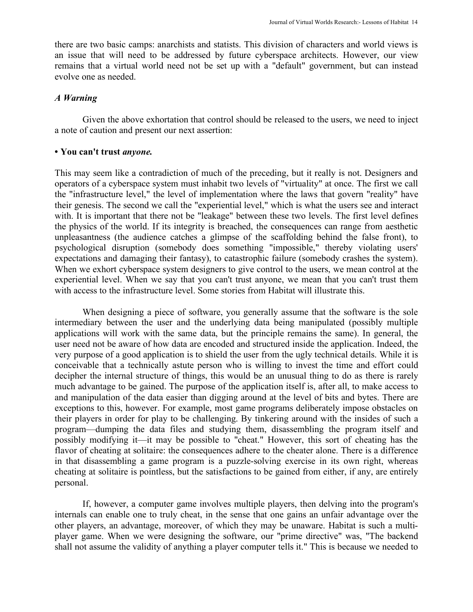there are two basic camps: anarchists and statists. This division of characters and world views is an issue that will need to be addressed by future cyberspace architects. However, our view remains that a virtual world need not be set up with a "default" government, but can instead evolve one as needed.

#### *A Warning*

Given the above exhortation that control should be released to the users, we need to inject a note of caution and present our next assertion:

#### **• You can't trust** *anyone.*

This may seem like a contradiction of much of the preceding, but it really is not. Designers and operators of a cyberspace system must inhabit two levels of "virtuality" at once. The first we call the "infrastructure level," the level of implementation where the laws that govern "reality" have their genesis. The second we call the "experiential level," which is what the users see and interact with. It is important that there not be "leakage" between these two levels. The first level defines the physics of the world. If its integrity is breached, the consequences can range from aesthetic unpleasantness (the audience catches a glimpse of the scaffolding behind the false front), to psychological disruption (somebody does something "impossible," thereby violating users' expectations and damaging their fantasy), to catastrophic failure (somebody crashes the system). When we exhort cyberspace system designers to give control to the users, we mean control at the experiential level. When we say that you can't trust anyone, we mean that you can't trust them with access to the infrastructure level. Some stories from Habitat will illustrate this.

When designing a piece of software, you generally assume that the software is the sole intermediary between the user and the underlying data being manipulated (possibly multiple applications will work with the same data, but the principle remains the same). In general, the user need not be aware of how data are encoded and structured inside the application. Indeed, the very purpose of a good application is to shield the user from the ugly technical details. While it is conceivable that a technically astute person who is willing to invest the time and effort could decipher the internal structure of things, this would be an unusual thing to do as there is rarely much advantage to be gained. The purpose of the application itself is, after all, to make access to and manipulation of the data easier than digging around at the level of bits and bytes. There are exceptions to this, however. For example, most game programs deliberately impose obstacles on their players in order for play to be challenging. By tinkering around with the insides of such a program—dumping the data files and studying them, disassembling the program itself and possibly modifying it—it may be possible to "cheat." However, this sort of cheating has the flavor of cheating at solitaire: the consequences adhere to the cheater alone. There is a difference in that disassembling a game program is a puzzle-solving exercise in its own right, whereas cheating at solitaire is pointless, but the satisfactions to be gained from either, if any, are entirely personal.

If, however, a computer game involves multiple players, then delving into the program's internals can enable one to truly cheat, in the sense that one gains an unfair advantage over the other players, an advantage, moreover, of which they may be unaware. Habitat is such a multiplayer game. When we were designing the software, our "prime directive" was, "The backend shall not assume the validity of anything a player computer tells it." This is because we needed to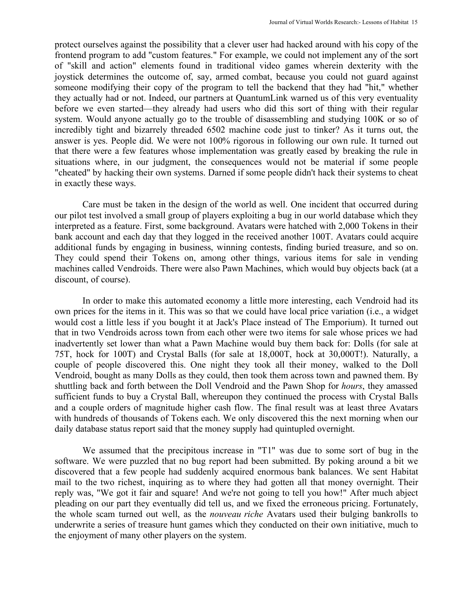protect ourselves against the possibility that a clever user had hacked around with his copy of the frontend program to add "custom features." For example, we could not implement any of the sort of "skill and action" elements found in traditional video games wherein dexterity with the joystick determines the outcome of, say, armed combat, because you could not guard against someone modifying their copy of the program to tell the backend that they had "hit," whether they actually had or not. Indeed, our partners at QuantumLink warned us of this very eventuality before we even started—they already had users who did this sort of thing with their regular system. Would anyone actually go to the trouble of disassembling and studying 100K or so of incredibly tight and bizarrely threaded 6502 machine code just to tinker? As it turns out, the answer is yes. People did. We were not 100% rigorous in following our own rule. It turned out that there were a few features whose implementation was greatly eased by breaking the rule in situations where, in our judgment, the consequences would not be material if some people "cheated" by hacking their own systems. Darned if some people didn't hack their systems to cheat in exactly these ways.

Care must be taken in the design of the world as well. One incident that occurred during our pilot test involved a small group of players exploiting a bug in our world database which they interpreted as a feature. First, some background. Avatars were hatched with 2,000 Tokens in their bank account and each day that they logged in the received another 100T. Avatars could acquire additional funds by engaging in business, winning contests, finding buried treasure, and so on. They could spend their Tokens on, among other things, various items for sale in vending machines called Vendroids. There were also Pawn Machines, which would buy objects back (at a discount, of course).

In order to make this automated economy a little more interesting, each Vendroid had its own prices for the items in it. This was so that we could have local price variation (i.e., a widget would cost a little less if you bought it at Jack's Place instead of The Emporium). It turned out that in two Vendroids across town from each other were two items for sale whose prices we had inadvertently set lower than what a Pawn Machine would buy them back for: Dolls (for sale at 75T, hock for 100T) and Crystal Balls (for sale at 18,000T, hock at 30,000T!). Naturally, a couple of people discovered this. One night they took all their money, walked to the Doll Vendroid, bought as many Dolls as they could, then took them across town and pawned them. By shuttling back and forth between the Doll Vendroid and the Pawn Shop for *hours*, they amassed sufficient funds to buy a Crystal Ball, whereupon they continued the process with Crystal Balls and a couple orders of magnitude higher cash flow. The final result was at least three Avatars with hundreds of thousands of Tokens each. We only discovered this the next morning when our daily database status report said that the money supply had quintupled overnight.

We assumed that the precipitous increase in "T1" was due to some sort of bug in the software. We were puzzled that no bug report had been submitted. By poking around a bit we discovered that a few people had suddenly acquired enormous bank balances. We sent Habitat mail to the two richest, inquiring as to where they had gotten all that money overnight. Their reply was, "We got it fair and square! And we're not going to tell you how!" After much abject pleading on our part they eventually did tell us, and we fixed the erroneous pricing. Fortunately, the whole scam turned out well, as the *nouveau riche* Avatars used their bulging bankrolls to underwrite a series of treasure hunt games which they conducted on their own initiative, much to the enjoyment of many other players on the system.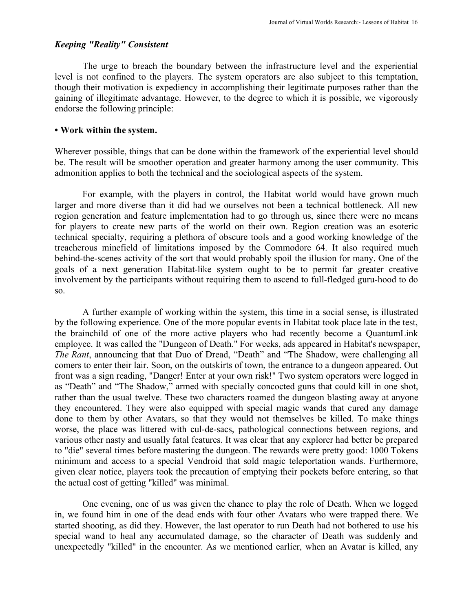#### *Keeping "Reality" Consistent*

The urge to breach the boundary between the infrastructure level and the experiential level is not confined to the players. The system operators are also subject to this temptation, though their motivation is expediency in accomplishing their legitimate purposes rather than the gaining of illegitimate advantage. However, to the degree to which it is possible, we vigorously endorse the following principle:

#### **• Work within the system.**

Wherever possible, things that can be done within the framework of the experiential level should be. The result will be smoother operation and greater harmony among the user community. This admonition applies to both the technical and the sociological aspects of the system.

For example, with the players in control, the Habitat world would have grown much larger and more diverse than it did had we ourselves not been a technical bottleneck. All new region generation and feature implementation had to go through us, since there were no means for players to create new parts of the world on their own. Region creation was an esoteric technical specialty, requiring a plethora of obscure tools and a good working knowledge of the treacherous minefield of limitations imposed by the Commodore 64. It also required much behind-the-scenes activity of the sort that would probably spoil the illusion for many. One of the goals of a next generation Habitat-like system ought to be to permit far greater creative involvement by the participants without requiring them to ascend to full-fledged guru-hood to do so.

A further example of working within the system, this time in a social sense, is illustrated by the following experience. One of the more popular events in Habitat took place late in the test, the brainchild of one of the more active players who had recently become a QuantumLink employee. It was called the "Dungeon of Death." For weeks, ads appeared in Habitat's newspaper, *The Rant*, announcing that that Duo of Dread, "Death" and "The Shadow, were challenging all comers to enter their lair. Soon, on the outskirts of town, the entrance to a dungeon appeared. Out front was a sign reading, "Danger! Enter at your own risk!" Two system operators were logged in as "Death" and "The Shadow," armed with specially concocted guns that could kill in one shot, rather than the usual twelve. These two characters roamed the dungeon blasting away at anyone they encountered. They were also equipped with special magic wands that cured any damage done to them by other Avatars, so that they would not themselves be killed. To make things worse, the place was littered with cul-de-sacs, pathological connections between regions, and various other nasty and usually fatal features. It was clear that any explorer had better be prepared to "die" several times before mastering the dungeon. The rewards were pretty good: 1000 Tokens minimum and access to a special Vendroid that sold magic teleportation wands. Furthermore, given clear notice, players took the precaution of emptying their pockets before entering, so that the actual cost of getting "killed" was minimal.

One evening, one of us was given the chance to play the role of Death. When we logged in, we found him in one of the dead ends with four other Avatars who were trapped there. We started shooting, as did they. However, the last operator to run Death had not bothered to use his special wand to heal any accumulated damage, so the character of Death was suddenly and unexpectedly "killed" in the encounter. As we mentioned earlier, when an Avatar is killed, any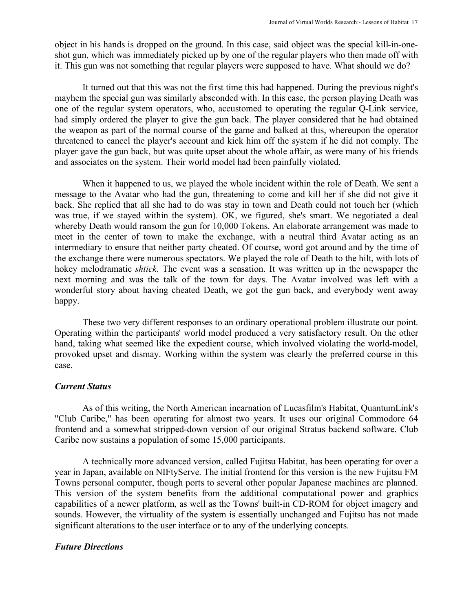object in his hands is dropped on the ground. In this case, said object was the special kill-in-oneshot gun, which was immediately picked up by one of the regular players who then made off with it. This gun was not something that regular players were supposed to have. What should we do?

It turned out that this was not the first time this had happened. During the previous night's mayhem the special gun was similarly absconded with. In this case, the person playing Death was one of the regular system operators, who, accustomed to operating the regular Q-Link service, had simply ordered the player to give the gun back. The player considered that he had obtained the weapon as part of the normal course of the game and balked at this, whereupon the operator threatened to cancel the player's account and kick him off the system if he did not comply. The player gave the gun back, but was quite upset about the whole affair, as were many of his friends and associates on the system. Their world model had been painfully violated.

When it happened to us, we played the whole incident within the role of Death. We sent a message to the Avatar who had the gun, threatening to come and kill her if she did not give it back. She replied that all she had to do was stay in town and Death could not touch her (which was true, if we stayed within the system). OK, we figured, she's smart. We negotiated a deal whereby Death would ransom the gun for 10,000 Tokens. An elaborate arrangement was made to meet in the center of town to make the exchange, with a neutral third Avatar acting as an intermediary to ensure that neither party cheated. Of course, word got around and by the time of the exchange there were numerous spectators. We played the role of Death to the hilt, with lots of hokey melodramatic *shtick*. The event was a sensation. It was written up in the newspaper the next morning and was the talk of the town for days. The Avatar involved was left with a wonderful story about having cheated Death, we got the gun back, and everybody went away happy.

These two very different responses to an ordinary operational problem illustrate our point. Operating within the participants' world model produced a very satisfactory result. On the other hand, taking what seemed like the expedient course, which involved violating the world-model, provoked upset and dismay. Working within the system was clearly the preferred course in this case.

#### *Current Status*

As of this writing, the North American incarnation of Lucasfilm's Habitat, QuantumLink's "Club Caribe," has been operating for almost two years. It uses our original Commodore 64 frontend and a somewhat stripped-down version of our original Stratus backend software. Club Caribe now sustains a population of some 15,000 participants.

A technically more advanced version, called Fujitsu Habitat, has been operating for over a year in Japan, available on NIFtyServe. The initial frontend for this version is the new Fujitsu FM Towns personal computer, though ports to several other popular Japanese machines are planned. This version of the system benefits from the additional computational power and graphics capabilities of a newer platform, as well as the Towns' built-in CD-ROM for object imagery and sounds. However, the virtuality of the system is essentially unchanged and Fujitsu has not made significant alterations to the user interface or to any of the underlying concepts.

#### *Future Directions*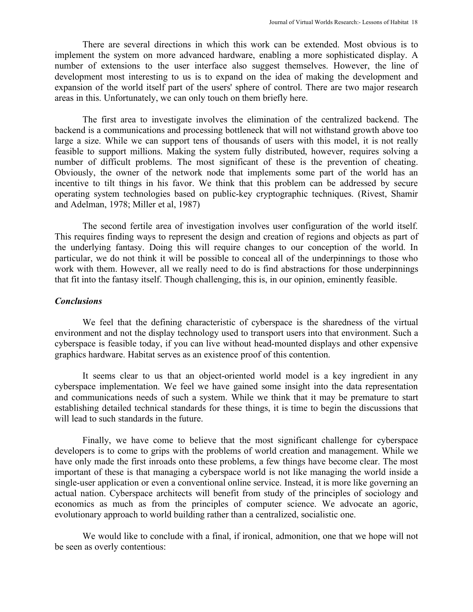There are several directions in which this work can be extended. Most obvious is to implement the system on more advanced hardware, enabling a more sophisticated display. A number of extensions to the user interface also suggest themselves. However, the line of development most interesting to us is to expand on the idea of making the development and expansion of the world itself part of the users' sphere of control. There are two major research areas in this. Unfortunately, we can only touch on them briefly here.

The first area to investigate involves the elimination of the centralized backend. The backend is a communications and processing bottleneck that will not withstand growth above too large a size. While we can support tens of thousands of users with this model, it is not really feasible to support millions. Making the system fully distributed, however, requires solving a number of difficult problems. The most significant of these is the prevention of cheating. Obviously, the owner of the network node that implements some part of the world has an incentive to tilt things in his favor. We think that this problem can be addressed by secure operating system technologies based on public-key cryptographic techniques. (Rivest, Shamir and Adelman, 1978; Miller et al, 1987)

The second fertile area of investigation involves user configuration of the world itself. This requires finding ways to represent the design and creation of regions and objects as part of the underlying fantasy. Doing this will require changes to our conception of the world. In particular, we do not think it will be possible to conceal all of the underpinnings to those who work with them. However, all we really need to do is find abstractions for those underpinnings that fit into the fantasy itself. Though challenging, this is, in our opinion, eminently feasible.

#### *Conclusions*

We feel that the defining characteristic of cyberspace is the sharedness of the virtual environment and not the display technology used to transport users into that environment. Such a cyberspace is feasible today, if you can live without head-mounted displays and other expensive graphics hardware. Habitat serves as an existence proof of this contention.

It seems clear to us that an object-oriented world model is a key ingredient in any cyberspace implementation. We feel we have gained some insight into the data representation and communications needs of such a system. While we think that it may be premature to start establishing detailed technical standards for these things, it is time to begin the discussions that will lead to such standards in the future.

Finally, we have come to believe that the most significant challenge for cyberspace developers is to come to grips with the problems of world creation and management. While we have only made the first inroads onto these problems, a few things have become clear. The most important of these is that managing a cyberspace world is not like managing the world inside a single-user application or even a conventional online service. Instead, it is more like governing an actual nation. Cyberspace architects will benefit from study of the principles of sociology and economics as much as from the principles of computer science. We advocate an agoric, evolutionary approach to world building rather than a centralized, socialistic one.

We would like to conclude with a final, if ironical, admonition, one that we hope will not be seen as overly contentious: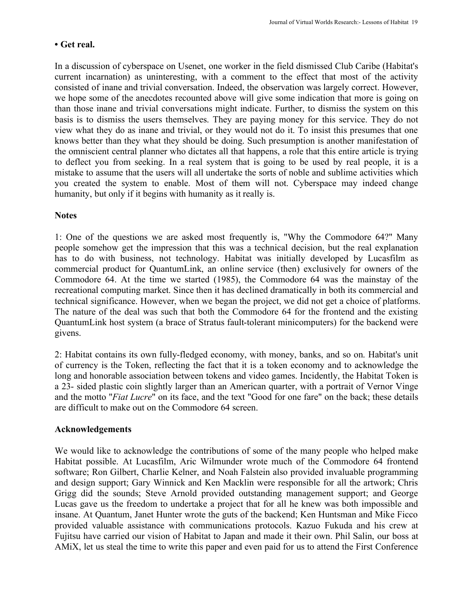# **• Get real.**

In a discussion of cyberspace on Usenet, one worker in the field dismissed Club Caribe (Habitat's current incarnation) as uninteresting, with a comment to the effect that most of the activity consisted of inane and trivial conversation. Indeed, the observation was largely correct. However, we hope some of the anecdotes recounted above will give some indication that more is going on than those inane and trivial conversations might indicate. Further, to dismiss the system on this basis is to dismiss the users themselves. They are paying money for this service. They do not view what they do as inane and trivial, or they would not do it. To insist this presumes that one knows better than they what they should be doing. Such presumption is another manifestation of the omniscient central planner who dictates all that happens, a role that this entire article is trying to deflect you from seeking. In a real system that is going to be used by real people, it is a mistake to assume that the users will all undertake the sorts of noble and sublime activities which you created the system to enable. Most of them will not. Cyberspace may indeed change humanity, but only if it begins with humanity as it really is.

# **Notes**

1: One of the questions we are asked most frequently is, "Why the Commodore 64?" Many people somehow get the impression that this was a technical decision, but the real explanation has to do with business, not technology. Habitat was initially developed by Lucasfilm as commercial product for QuantumLink, an online service (then) exclusively for owners of the Commodore 64. At the time we started (1985), the Commodore 64 was the mainstay of the recreational computing market. Since then it has declined dramatically in both its commercial and technical significance. However, when we began the project, we did not get a choice of platforms. The nature of the deal was such that both the Commodore 64 for the frontend and the existing QuantumLink host system (a brace of Stratus fault-tolerant minicomputers) for the backend were givens.

2: Habitat contains its own fully-fledged economy, with money, banks, and so on. Habitat's unit of currency is the Token, reflecting the fact that it is a token economy and to acknowledge the long and honorable association between tokens and video games. Incidently, the Habitat Token is a 23- sided plastic coin slightly larger than an American quarter, with a portrait of Vernor Vinge and the motto "*Fiat Lucre*" on its face, and the text "Good for one fare" on the back; these details are difficult to make out on the Commodore 64 screen.

# **Acknowledgements**

We would like to acknowledge the contributions of some of the many people who helped make Habitat possible. At Lucasfilm, Aric Wilmunder wrote much of the Commodore 64 frontend software; Ron Gilbert, Charlie Kelner, and Noah Falstein also provided invaluable programming and design support; Gary Winnick and Ken Macklin were responsible for all the artwork; Chris Grigg did the sounds; Steve Arnold provided outstanding management support; and George Lucas gave us the freedom to undertake a project that for all he knew was both impossible and insane. At Quantum, Janet Hunter wrote the guts of the backend; Ken Huntsman and Mike Ficco provided valuable assistance with communications protocols. Kazuo Fukuda and his crew at Fujitsu have carried our vision of Habitat to Japan and made it their own. Phil Salin, our boss at AMiX, let us steal the time to write this paper and even paid for us to attend the First Conference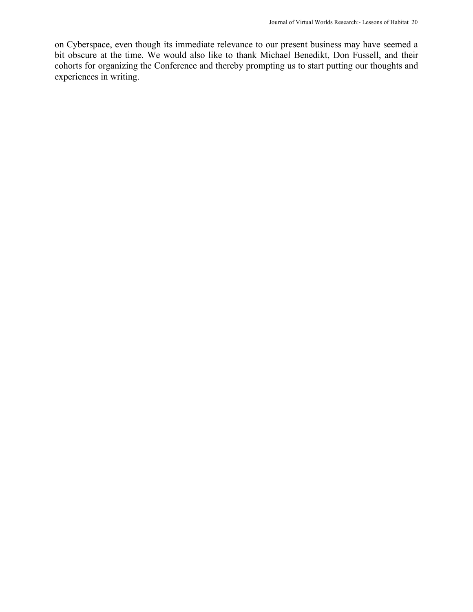on Cyberspace, even though its immediate relevance to our present business may have seemed a bit obscure at the time. We would also like to thank Michael Benedikt, Don Fussell, and their cohorts for organizing the Conference and thereby prompting us to start putting our thoughts and experiences in writing.